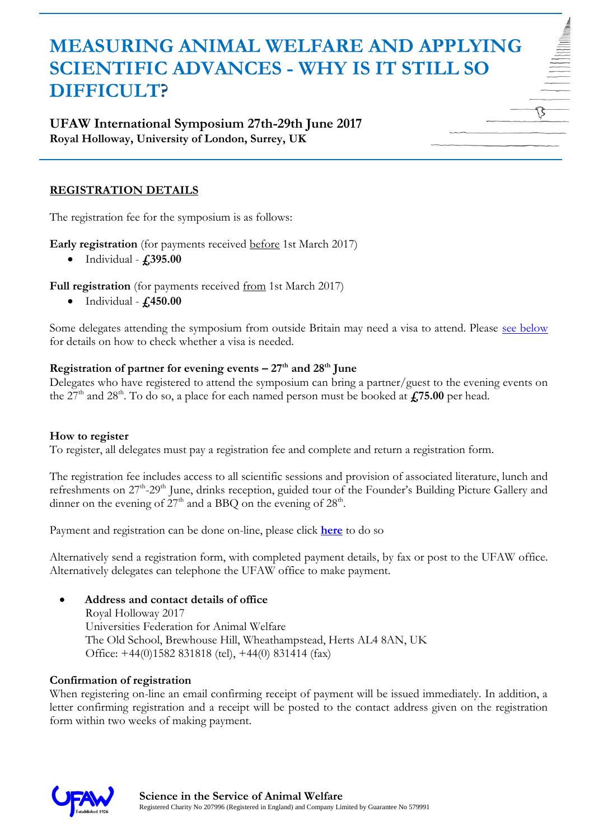# **MEASURING ANIMAL WELFARE AND APPLYING SCIENTIFIC ADVANCES - WHY IS IT STILL SO DIFFICULT?**

## **UFAW International Symposium 27th-29th June 2017 Royal Holloway, University of London, Surrey, UK**

## **REGISTRATION DETAILS**

The registration fee for the symposium is as follows:

**Early registration** (for payments received before 1st March 2017)

Individual - **£395.00**

Full registration (for payments received from 1st March 2017)

Individual - **£450.00**

Some delegates attending the symposium from outside Britain may need a visa to attend. Please [see below](#page-1-0) for details on how to check whether a visa is needed.

#### **Registration of partner for evening events**  $-27$ **<sup>th</sup> and**  $28$ **<sup>th</sup> June**

Delegates who have registered to attend the symposium can bring a partner/guest to the evening events on the  $27<sup>th</sup>$  and  $28<sup>th</sup>$ . To do so, a place for each named person must be booked at  $\angle$ **£75.00** per head.

#### **How to register**

To register, all delegates must pay a registration fee and complete and return a registration form.

The registration fee includes access to all scientific sessions and provision of associated literature, lunch and refreshments on 27<sup>th</sup>-29<sup>th</sup> June, drinks reception, guided tour of the Founder's Building Picture Gallery and dinner on the evening of  $27<sup>th</sup>$  and a BBQ on the evening of  $28<sup>th</sup>$ .

Payment and registration can be done on-line, please click **[here](http://www.ufaw.org.uk/ufaw-events/measuring-animal-welfare-and-applying-scientific-advances---register)** to do so

Alternatively send a registration form, with completed payment details, by fax or post to the UFAW office. Alternatively delegates can telephone the UFAW office to make payment.

### **Address and contact details of office**

Royal Holloway 2017 Universities Federation for Animal Welfare The Old School, Brewhouse Hill, Wheathampstead, Herts AL4 8AN, UK Office: +44(0)1582 831818 (tel), +44(0) 831414 (fax)

### **Confirmation of registration**

When registering on-line an email confirming receipt of payment will be issued immediately. In addition, a letter confirming registration and a receipt will be posted to the contact address given on the registration form within two weeks of making payment.